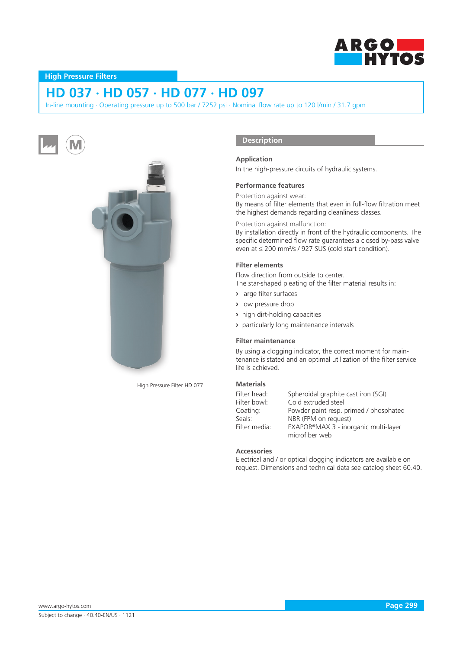

# **High Pressure Filters**

# **HD 037 · HD 057 · HD 077 · HD 097**

In-line mounting · Operating pressure up to 500 bar / 7252 psi · Nominal flow rate up to 120 l/min / 31.7 gpm





High Pressure Filter HD 077

# **Description**

## **Application**

In the high-pressure circuits of hydraulic systems.

#### **Performance features**

Protection against wear:

By means of filter elements that even in full-flow filtration meet the highest demands regarding cleanliness classes.

Protection against malfunction:

By installation directly in front of the hydraulic components. The specific determined flow rate guarantees a closed by-pass valve even at  $\leq$  200 mm<sup>2</sup>/s / 927 SUS (cold start condition).

## **Filter elements**

Flow direction from outside to center.

The star-shaped pleating of the filter material results in:

- **›** large filter surfaces
- **›** low pressure drop
- **›** high dirt-holding capacities
- **›** particularly long maintenance intervals

#### **Filter maintenance**

By using a clogging indicator, the correct moment for maintenance is stated and an optimal utilization of the filter service life is achieved.

## **Materials**

| Filter head:  | Spheroidal graphite cast iron (SGI)    |
|---------------|----------------------------------------|
| Filter bowl:  | Cold extruded steel                    |
| Coating:      | Powder paint resp. primed / phosphated |
| Seals:        | NBR (FPM on request)                   |
| Filter media: | EXAPOR®MAX 3 - inorganic multi-layer   |
|               | microfiber web                         |

#### **Accessories**

Electrical and / or optical clogging indicators are available on request. Dimensions and technical data see catalog sheet 60.40.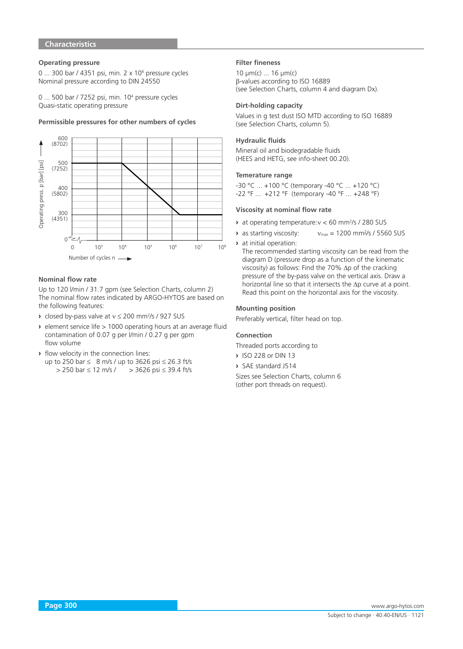# **Characteristics**

## **Operating pressure**

0 ... 300 bar / 4351 psi, min. 2 x 10<sup>6</sup> pressure cycles Nominal pressure according to DIN 24550

0 ... 500 bar / 7252 psi, min. 10<sup>4</sup> pressure cycles Quasi-static operating pressure

# Permissible pressures for other numbers of cycles



#### **Nominal flow rate**

Up to 120 l/min / 31.7 gpm (see Selection Charts, column 2) The nominal flow rates indicated by ARGO-HYTOS are based on the following features:

- **›** closed by-pass valve at v ≤ 200 mm<sup>2</sup>/s / 927 SUS
- **›** element service life > 1000 operating hours at an average fluid contamination of 0.07 g per l/min / 0.27 g per gpm flow volume
- **›** flow velocity in the connection lines:
	- up to 250 bar  $\leq 8$  m/s / up to 3626 psi  $\leq 26.3$  ft/s > 250 bar ≤ 12 m/s / > 3626 psi ≤ 39.4 ft/s

#### **Filter fineness**

10 µm(c) ... 16 µm(c) β-values according to ISO 16889 (see Selection Charts, column 4 and diagram Dx).

#### **Dirt-holding capacity**

Values in g test dust ISO MTD according to ISO 16889 (see Selection Charts, column 5).

# **Hydraulic fluids**

Mineral oil and biodegradable fluids (HEES and HETG, see info-sheet 00.20).

## **Temerature range**

-30 °C ... +100 °C (temporary -40 °C ... +120 °C) -22 °F ... +212 °F (temporary -40 °F ... +248 °F)

## **Viscosity at nominal flow rate**

- **›** at operating temperature:ν < 60 mm2 /s / 280 SUS
- **›** as starting viscosity:  $v_{\text{max}} = 1200 \text{ mm}^2/\text{s}$  / 5560 SUS
- **›** at initial operation:

The recommended starting viscosity can be read from the diagram D (pressure drop as a function of the kinematic viscosity) as follows: Find the 70% ∆p of the cracking pressure of the by-pass valve on the vertical axis. Draw a horizontal line so that it intersects the ∆p curve at a point. Read this point on the horizontal axis for the viscosity.

#### **Mounting position**

Preferably vertical, filter head on top.

#### **Connection**

Threaded ports according to

- **›** ISO 228 or DIN 13
- **›** SAE standard J514
- Sizes see Selection Charts, column 6 (other port threads on request).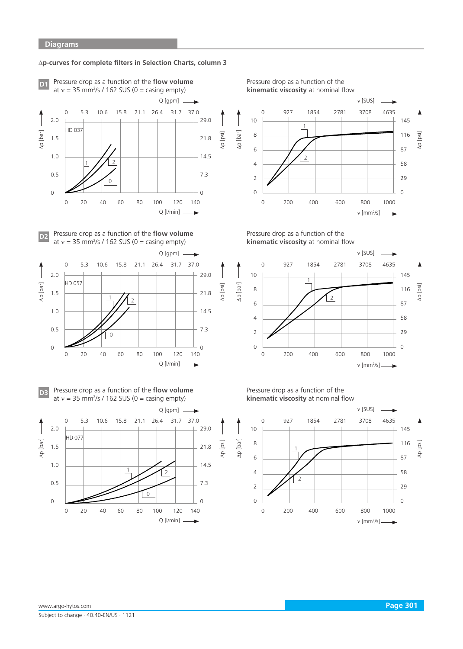#### ∆**p-curves for complete filters in Selection Charts, column 3**

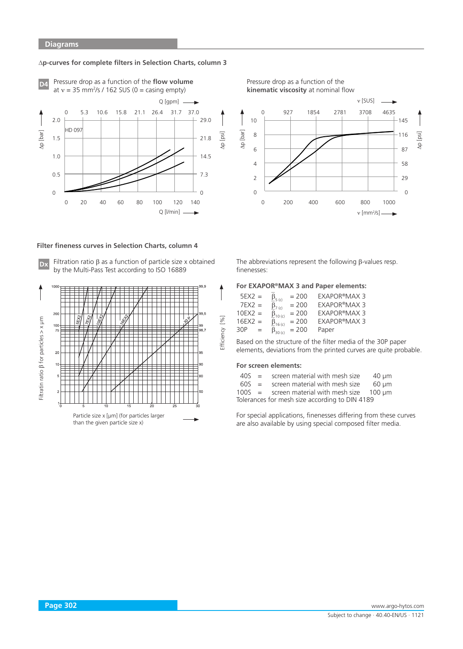## ∆**p-curves for complete filters in Selection Charts, column 3**



### **Filter fineness curves in Selection Charts, column 4**



**Dx** Filtration ratio β as a function of particle size x obtained by the Multi-Pass Test according to ISO 16889



The abbreviations represent the following β-values resp. finenesses:

#### **For EXAPOR®MAX 3 and Paper elements:**

| $5EX2 =$  |     | $\beta_{\rm 5}$ (c)     | $= 200$ | EXAPOR®MAX 3        |
|-----------|-----|-------------------------|---------|---------------------|
| $7EX2 =$  |     | $\beta$ <sub>7(c)</sub> | $= 200$ | <b>EXAPOR®MAX 3</b> |
| $10EX2 =$ |     | $\beta_{10}$ (c)        | $= 200$ | <b>EXAPOR®MAX 3</b> |
| $16EX2 =$ |     | $\beta_{16}$ (c)        | $= 200$ | <b>EXAPOR®MAX 3</b> |
| 30P       | $=$ | $\beta_{30(k)}$         | $= 200$ | Paper               |

Based on the structure of the filter media of the 30P paper elements, deviations from the printed curves are quite probable.

#### **For screen elements:**

Efficiency [%]

| $40S =$ | screen material with mesh size                 | $40 \mu m$ |
|---------|------------------------------------------------|------------|
| $60S =$ | screen material with mesh size                 | 60 µm      |
| 100c    | agus an meatair is it an act airs and 100 uses |            |

100S = screen material with mesh size  $100 \mu m$ Tolerances for mesh size according to DIN 4189

For special applications, finenesses differing from these curves are also available by using special composed filter media.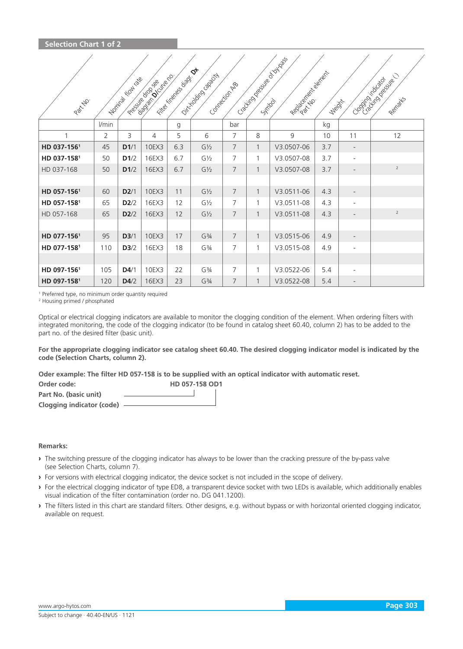| Partitio.    |                | I Maritim Road Maritim | isolator Dicitie Ro.<br>Proclamation Rep | I Hitchcock Court Of | 1 2/2 color data data | Connection As  | I Caccionation of Dayton | Region of Private Region | Neidrit |                          | Cooking racial revision<br>Rentalts |
|--------------|----------------|------------------------|------------------------------------------|----------------------|-----------------------|----------------|--------------------------|--------------------------|---------|--------------------------|-------------------------------------|
|              | l/min          |                        |                                          | g                    |                       | bar            |                          |                          | kg      |                          |                                     |
| $\mathbf{1}$ | $\overline{2}$ | 3                      | 4                                        | 5                    | 6                     | $\overline{7}$ | 8                        | 9                        | 10      | 11                       | 12                                  |
| HD 037-1561  | 45             | D1/1                   | 10EX3                                    | 6.3                  | $G\frac{1}{2}$        | $\overline{7}$ | $\mathbf{1}$             | V3.0507-06               | 3.7     | $\overline{\phantom{a}}$ |                                     |
| HD 037-1581  | 50             | D1/2                   | 16EX3                                    | 6.7                  | $G\frac{1}{2}$        | 7              | $\mathbf{1}$             | V3.0507-08               | 3.7     | $\overline{\phantom{0}}$ |                                     |
| HD 037-168   | 50             | D1/2                   | 16EX3                                    | 6.7                  | $G\frac{1}{2}$        | $\overline{7}$ | $\mathbf{1}$             | V3.0507-08               | 3.7     | $\overline{\phantom{0}}$ | $\overline{2}$                      |
|              |                |                        |                                          |                      |                       |                |                          |                          |         |                          |                                     |
| HD 057-1561  | 60             | D2/1                   | 10EX3                                    | 11                   | $G\frac{1}{2}$        | 7              | $\mathbf{1}$             | V3.0511-06               | 4.3     | $\overline{\phantom{a}}$ |                                     |
| HD 057-1581  | 65             | D2/2                   | 16EX3                                    | 12                   | $G\frac{1}{2}$        | 7              | $\mathbf{1}$             | V3.0511-08               | 4.3     | $\overline{\phantom{a}}$ |                                     |
| HD 057-168   | 65             | D2/2                   | 16EX3                                    | 12                   | $G\frac{1}{2}$        | $\overline{7}$ | $\mathbf{1}$             | V3.0511-08               | 4.3     |                          | $\overline{2}$                      |
|              |                |                        |                                          |                      |                       |                |                          |                          |         |                          |                                     |
| HD 077-1561  | 95             | D3/1                   | 10EX3                                    | 17                   | G <sup>3</sup> /4     | $\overline{7}$ | $\mathbf{1}$             | V3.0515-06               | 4.9     | $\overline{\phantom{a}}$ |                                     |
| HD 077-1581  | 110            | D3/2                   | 16EX3                                    | 18                   | G <sup>3</sup> /4     | $\overline{7}$ | 1                        | V3.0515-08               | 4.9     | $\overline{\phantom{0}}$ |                                     |
|              |                |                        |                                          |                      |                       |                |                          |                          |         |                          |                                     |
| HD 097-1561  | 105            | D4/1                   | 10EX3                                    | 22                   | G <sup>3</sup> /4     | 7              | 1                        | V3.0522-06               | 5.4     |                          |                                     |
| HD 097-1581  | 120            | D4/2                   | 16EX3                                    | 23                   | G <sup>3</sup> /4     | 7              | $\mathbf{1}$             | V3.0522-08               | 5.4     | $\overline{\phantom{0}}$ |                                     |

<sup>1</sup> Preferred type, no minimum order quantity required 2<br><sup>2</sup> Housing primed / phosphated

<sup>2</sup> Housing primed / phosphated

Optical or electrical clogging indicators are available to monitor the clogging condition of the element. When ordering filters with integrated monitoring, the code of the clogging indicator (to be found in catalog sheet 60.40, column 2) has to be added to the part no. of the desired filter (basic unit).

**For the appropriate clogging indicator see catalog sheet 60.40. The desired clogging indicator model is indicated by the code (Selection Charts, column 2).**

**Oder example: The filter HD 057-158 is to be supplied with an optical indicator with automatic reset.** 

| Order code:               | <b>HD 057-158 OD1</b> |  |
|---------------------------|-----------------------|--|
| Part No. (basic unit)     |                       |  |
| Clogging indicator (code) |                       |  |

#### **Remarks:**

- **›** The switching pressure of the clogging indicator has always to be lower than the cracking pressure of the by-pass valve (see Selection Charts, column 7).
- **›** For versions with electrical clogging indicator, the device socket is not included in the scope of delivery.
- **›** For the electrical clogging indicator of type ED8, a transparent device socket with two LEDs is available, which additionally enables visual indication of the filter contamination (order no. DG 041.1200).
- **›** The filters listed in this chart are standard filters. Other designs, e.g. without bypass or with horizontal oriented clogging indicator, available on request.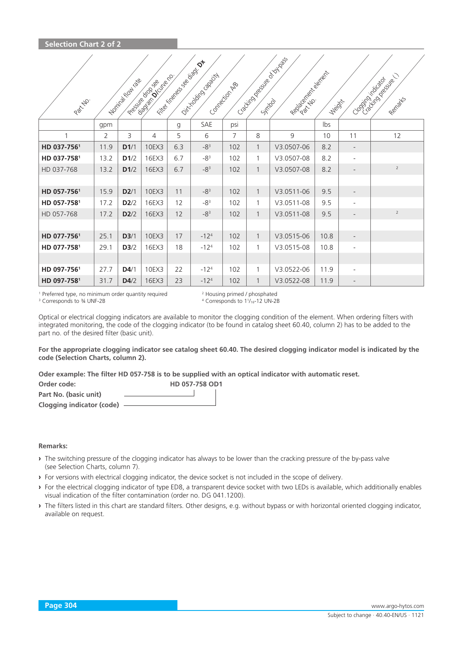| Partylio.   |                | <b>IDOMINION INTERNATION</b> | isolato di Ciclie ro.<br>Proclamator Rep | I - Fille Kingdom Contractor Canada | O. Trade Baseda | Connection As | I Caccico Register Board Assist | Region of Regional Region | <b>Neidrit</b> |                          | Cooking rations of<br>Rentalts |
|-------------|----------------|------------------------------|------------------------------------------|-------------------------------------|-----------------|---------------|---------------------------------|---------------------------|----------------|--------------------------|--------------------------------|
|             | gpm            |                              |                                          | g                                   | SAE             | psi           |                                 |                           | Ibs            |                          |                                |
| 1           | $\overline{2}$ | 3                            | 4                                        | 5                                   | 6               | 7             | 8                               | 9                         | 10             | 11                       | 12                             |
| HD 037-7561 | 11.9           | D1/1                         | 10EX3                                    | 6.3                                 | $-83$           | 102           | $\mathbf{1}$                    | V3.0507-06                | 8.2            | $\overline{\phantom{a}}$ |                                |
| HD 037-7581 | 13.2           | D1/2                         | 16EX3                                    | 6.7                                 | $-83$           | 102           | $\mathbf{1}$                    | V3.0507-08                | 8.2            | $\overline{\phantom{a}}$ |                                |
| HD 037-768  | 13.2           | D1/2                         | 16EX3                                    | 6.7                                 | $-83$           | 102           | $\mathbf{1}$                    | V3.0507-08                | 8.2            | $\overline{\phantom{a}}$ | $\overline{2}$                 |
|             |                |                              |                                          |                                     |                 |               |                                 |                           |                |                          |                                |
| HD 057-7561 | 15.9           | D2/1                         | 10EX3                                    | 11                                  | $-83$           | 102           | $\mathbf{1}$                    | V3.0511-06                | 9.5            | $\overline{\phantom{a}}$ |                                |
| HD 057-7581 | 17.2           | D2/2                         | 16EX3                                    | 12                                  | $-83$           | 102           | $\mathbf{1}$                    | V3.0511-08                | 9.5            | $\overline{\phantom{a}}$ |                                |
| HD 057-768  | 17.2           | D2/2                         | 16EX3                                    | 12                                  | $-83$           | 102           | $\mathbf{1}$                    | V3.0511-08                | 9.5            |                          | $\overline{2}$                 |
|             |                |                              |                                          |                                     |                 |               |                                 |                           |                |                          |                                |
| HD 077-7561 | 25.1           | D3/1                         | 10EX3                                    | 17                                  | $-124$          | 102           | $\mathbf{1}$                    | V3.0515-06                | 10.8           | $\overline{\phantom{0}}$ |                                |
| HD 077-7581 | 29.1           | D3/2                         | 16EX3                                    | 18                                  | $-124$          | 102           | 1                               | V3.0515-08                | 10.8           | $\overline{a}$           |                                |
|             |                |                              |                                          |                                     |                 |               |                                 |                           |                |                          |                                |
| HD 097-7561 | 27.7           | D4/1                         | 10EX3                                    | 22                                  | $-124$          | 102           | 1                               | V3.0522-06                | 11.9           | $\overline{\phantom{0}}$ |                                |
| HD 097-7581 | 31.7           | D4/2                         | 16EX3                                    | 23                                  | $-124$          | 102           | $\mathbf{1}$                    | V3.0522-08                | 11.9           | $\overline{\phantom{a}}$ |                                |

<sup>1</sup> Preferred type, no minimum order quantity required

<sup>2</sup> Housing primed / phosphated <sup>3</sup> Corresponds to 34 UNF-2B 44 Corresponds to 1<sup>1</sup>/<sub>16</sub>-12 UN-2B

Optical or electrical clogging indicators are available to monitor the clogging condition of the element. When ordering filters with integrated monitoring, the code of the clogging indicator (to be found in catalog sheet 60.40, column 2) has to be added to the part no. of the desired filter (basic unit).

**For the appropriate clogging indicator see catalog sheet 60.40. The desired clogging indicator model is indicated by the code (Selection Charts, column 2).**

**Oder example: The filter HD 057-758 is to be supplied with an optical indicator with automatic reset.** 

| Order code:               | HD 057-758 OD1 |  |
|---------------------------|----------------|--|
| Part No. (basic unit)     |                |  |
| Clogging indicator (code) |                |  |

## **Remarks:**

- **›** The switching pressure of the clogging indicator has always to be lower than the cracking pressure of the by-pass valve (see Selection Charts, column 7).
- **›** For versions with electrical clogging indicator, the device socket is not included in the scope of delivery.
- **›** For the electrical clogging indicator of type ED8, a transparent device socket with two LEDs is available, which additionally enables visual indication of the filter contamination (order no. DG 041.1200).
- **›** The filters listed in this chart are standard filters. Other designs, e.g. without bypass or with horizontal oriented clogging indicator, available on request.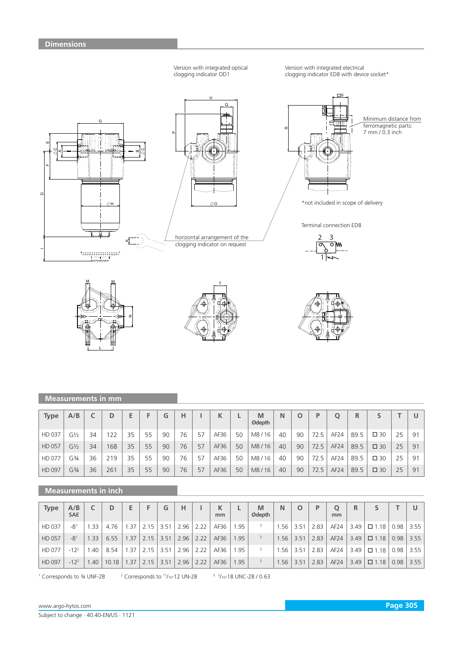







# **Measurements in mm**

| <b>Type</b> | A/B            |    |     |    |    | G  | н  |    |      |    | M<br>Ødepth | Ν  |    | D    |                  |      |              |    |    |
|-------------|----------------|----|-----|----|----|----|----|----|------|----|-------------|----|----|------|------------------|------|--------------|----|----|
| HD 037      | G½             | 34 | 22  | 35 | 55 | 90 | 76 | 57 | AF36 | 50 | M8/16       | 40 | 90 | 72.5 | AF <sub>24</sub> | 89.5 | $\square$ 30 | 25 | 91 |
| HD 057      | $G\frac{1}{2}$ | 34 | 168 | 35 | 55 | 90 | 76 | 57 | AF36 | 50 | M8/16       | 40 | 90 | 72.5 | AF24             | 89.5 | $\square$ 30 | 25 | 91 |
| HD 077      | G3⁄4           | 36 | 219 | 35 | 55 | 90 | 76 | 57 | AF36 | 50 | M8/16       | 40 | 90 | 72.5 | AF24             | 89.5 | $\square$ 30 | 25 | 91 |
| HD 097      | G3⁄4           | 36 | 261 | 35 | 55 | 90 | 76 | 57 | AF36 | 50 | M8/16       | 40 | 90 | 72.5 | AF24             | 89.5 | $\square$ 30 | 25 | 91 |

# **Measurements in inch**

| <b>Type</b>   | A/B<br><b>SAE</b> |      | D     |      |      | G    | Н    |      | mm   |      | M<br>Ødepth | Ν   | O                | D    | mm               | R    |                |      |      |
|---------------|-------------------|------|-------|------|------|------|------|------|------|------|-------------|-----|------------------|------|------------------|------|----------------|------|------|
| HD 037        | $-81$             | .33  | 4.76  | .37  | 2.15 | 3.51 | 2.96 | 2.22 | AF36 | .95  |             | .56 | 3.51             | 2.83 | AF <sub>24</sub> | 3.49 | $\square$ 1.18 | 0.98 | 3.55 |
| <b>HD 057</b> | $-81$             | 1.33 | 6.55  | 1.37 | 2.15 | 3.51 | 2.96 | 2.22 | AF36 | 1.95 |             | .56 | 3.51             | 2.83 | AF24             | 3.49 | $\square$ 1.18 | 0.98 | 3.55 |
| HD 077        | $-12^{2}$         | .40  | 8.54  | .37  | 2.15 | 3.51 | 2.96 |      | AF36 | .95  |             | .56 | 3.5 <sup>1</sup> | 2.83 | AF <sub>24</sub> | 3.49 | $\Box$ 1.18    | 0.98 | 3.55 |
| HD 097        | $-12^{2}$         | .40  | 10.18 | 1.37 | 2.15 | 3.51 | 2.96 | 2.22 | AF36 | .95  |             | .56 | 3.51             | 2.83 | AF24             | 3.49 | $\Box$ 1.18    | 0.98 | 3.55 |

<sup>1</sup> Corresponds to 34 UNF-2B <sup>2</sup>

 $2$  Corresponds to  $11/16-12$  UN-2B

5 /16-18 UNC-2B / 0.63